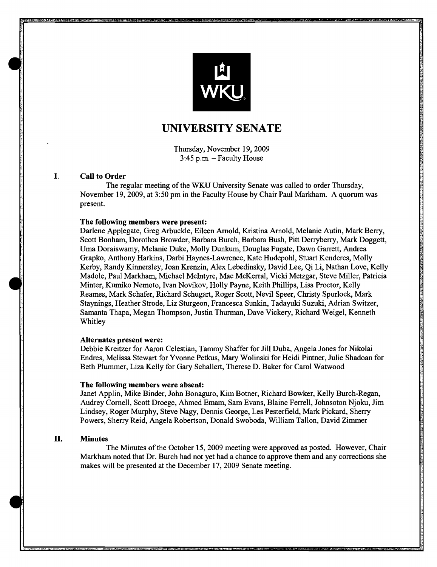

# **UNIVERSITY** SENATE

Thursday, November 19,2009 3:45 p.m. - Faculty House

# I. Call to Order

The regular meeting of the WKU University Senate was called to order Thursday, November 19,2009, at 3:50 pm in the Faculty House by Chair Paul Markham. A quorum was present.

# The following members were present:

Darlene Applegate, Greg Arbuckle, Eileen Arnold, Kristina Arnold, Melanie Autin, Mark Berry, Scott Bonham, Dorothea Browder, Barbara Burch, Barbara Bush, Pitt Derryberry, Mark Doggett, Uma Doraiswamy, Melanie Duke, Molly Dunkum, Douglas Fugate, Dawn Garrett, Andrea Grapko, Anthony Harkins, Darbi Haynes-Lawrence, Kate Hudepohl, Stuart Kenderes, Molly Kerby, Randy Kinnersley, Joan Krenzin, Alex Lebedinsky, David Lee, Qi Li, Nathan Love, Kelly Madole, Paul Markham, Michael McIntyre, Mac McKerral, Vicki Metzgar, Steve Miller, Patricia Minter, Kumiko Nemoto, Ivan Novikov, Holly Payne, Keith Phillips, Lisa Proctor, Kelly Reames, Mark Schafer, Richard Schugart, Roger Scott, Nevil Speer, Christy Spurlock, Mark Staynings, Heather Strode, Liz Sturgeon, Francesca Sunkin, Tadayuki Suzuki, Adrian Switzer, Samanta Thapa, Megan Thompson, Justin Thurman, Dave Vickery, Richard Weigel, Kenneth Whitley

#### Alternates present were:

Debbie Kreitzer for Aaron Celestian, Tammy Shaffer for Jill Duba, Angela Jones for Nikolai Endres, Melissa Stewart for Yvonne Petkus, Mary Wolinski for Heidi Pintner, Julie Shadoan for Beth Plummer, Liza Kelly for Gary Schallert, Therese D. Baker for Carol Watwood

#### The following members were absent:

Janet Applin, Mike Binder, John Bonaguro, Kim Botner, Richard Bowker, Kelly Burch-Regan, Audrey Cornell, Scott Droege, Ahmed Emam, Sam Evans, Blaine Ferrell, Johnsoton Njoku, Jim Lindsey, Roger Murphy, Steve Nagy, Dennis George, Les Pesterfield, Mark Pickard, Sherry Powers, Sherry Reid, Angela Robertson, Donald Swoboda, William Tallon, David Zimmer

# II. Minutes

The Minutes of the October 15, 2009 meeting were approved as posted. However, Chair Markham noted that Dr. Burch had not yet had a chance to approve them and any corrections she makes will be presented at the December 17, 2009 Senate meeting.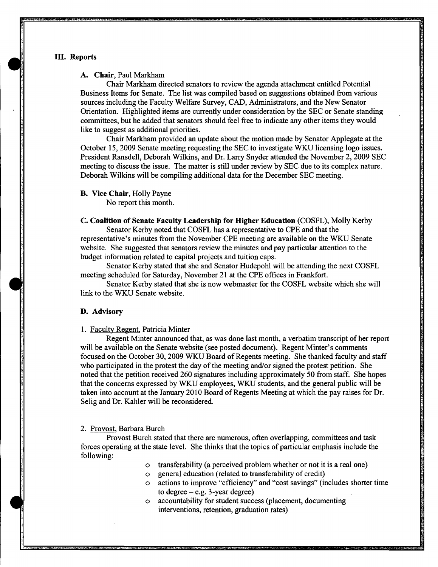## III. Reports

## A. Chair, Paul Markham

Chair Markham directed senators to review the agenda attachment entitled Potential Business Items for Senate. The list was compiled based on suggestions obtained from various sources including the Faculty Welfare Survey, CAD, Administrators, and the New Senator Orientation. Highlighted items are currently under consideration by the SEC or Senate standing committees, but he added that senators should feel free to indicate any other items they would like to suggest as additional priorities.

Chair Markham provided an update about the motion made by Senator Applegate at the October 15, 2009 Senate meeting requesting the SEC to investigate WKU licensing logo issues. President Ransdell, Deborah Wilkins, and Dr. Larry Snyder attended the November 2, 2009 SEC meeting to discuss the issue. The matter is still under review by SEC due to its complex nature. Deborah Wilkins will be compiling additional data for the December SEC meeting.

B. Vice Chair, Holly Payne

No report this month.

C. Coalition of Senate Faculty Leadership for Higher Education (COSFL), Molly Kerby Senator Kerby noted that COSFL has a representative to CPE and that the representative's minutes from the November CPE meeting are available on the WKU Senate

website. She suggested that senators review the minutes and pay particular attention to the budget information related to capital projects and tuition caps.

Senator Kerby stated that she and Senator Hudepohl will be attending the next COSFL meeting scheduled for Saturday, November 21 at the CPE offices in Frankfort.

Senator Kerby stated that she is now webmaster for the COSFL website which she will link to the WKU Senate website.

#### D. Advisory

1. Faculty Regent, Patricia Minter

Regent Minter announced that, as was done last month, a verbatim transcript of her report will be available on the Senate website (see posted document). Regent Minter's comments focused on the October 30, 2009 WKU Board of Regents meeting. She thanked faculty and staff who participated in the protest the day of the meeting and/or signed the protest petition. She noted that the petition received 260 signatures including approximately 50 from staff. She hopes that the concerns expressed by WKU employees, WKU students, and the general public will be taken into account at the January 2010 Board of Regents Meeting at which the pay raises for Dr. Selig and Dr. Kahler will be reconsidered.

#### 2. Provost, Barbara Burch

Provost Burch stated that there are numerous, often overlapping, committees and task forces operating at the state level. She thinks that the topics of particular emphasis include the following:

- o transferability (a perceived problem whether or not it is a real one)
- o general education (related to transferability of credit)
- o actions to improve "efficiency" and "cost savings" (includes shorter time to degree  $-$  e.g. 3-year degree)
- o accountability for student success (placement, documenting interventions, retention, graduation rates)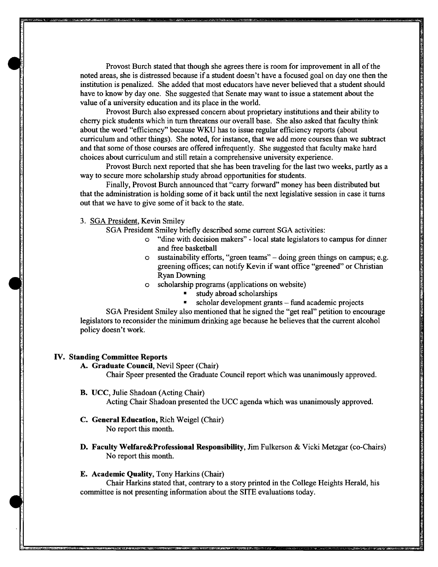Provost Burch stated that though she agrees there is room for improvement in all of the noted areas, she is distressed because if a student doesn't have a focused goal on day one then the institution is penalized. She added that most educators have never believed that a student should have to know by day one. She suggested that Senate may want to issue a statement about the value of a university education and its place in the world.

Provost Burch also expressed concern about proprietary institutions and their ability to cherry pick students which in turn threatens our overall base. She also asked that faculty think about the word "efficiency" because *WKV* has to issue regular efficiency reports (about curriculum and other things). She noted, for instance, that we add more courses than we subtract and that some of those courses are offered infrequently. She suggested that faculty make hard choices about curriculum and still retain a comprehensive university experience.

Provost Burch next reported that she has been traveling for the last two weeks, partly as a way to secure more scholarship study abroad opportunities for students.

Finally, Provost Burch announced that "carry forward" money has been distributed but that the administration is holding some of it back until the next legislative session in case it turns out that we have to give some of it back to the state.

3. SGA President, Kevin Smiley

SGA President Smiley briefly described some current SGA activities:

- o "dine with decision makers" local state legislators to campus for dinner and free basketball
- o sustainability efforts, "green teams" doing green things on campus; e.g. greening offices; can notify Kevin if want office "greened" or Christian Ryan Downing
- o scholarship programs (applications on website)
	- study abroad scholarships
	- scholar development grants fund academic projects

SGA President Smiley also mentioned that he signed the "get real" petition to encourage legislators to reconsider the minimum drinking age because he believes that the current alcohol policy doesn't work.

#### IV. Standing Committee Reports

A. Graduate Council, Nevil Speer (Chair)

Chair Speer presented the Graduate Council report which was unanimously approved.

B. VCC, Julie Shadoan (Acting Chair)

Acting Chair Shadoan presented the VCC agenda which was unanimously approved.

- C. General Education, Rich Weigel (Chair) No report this month.
- D. Faculty Welfare&Professional Responsibility, Jim Fulkerson & Vicki Metzgar (co-Chairs) No report this month.

# E. Academic Quality, Tony Harkins (Chair)

Chair Harkins stated that, contrary to a story printed in the College Heights Herald, his committee is not presenting information about the SITE evaluations today.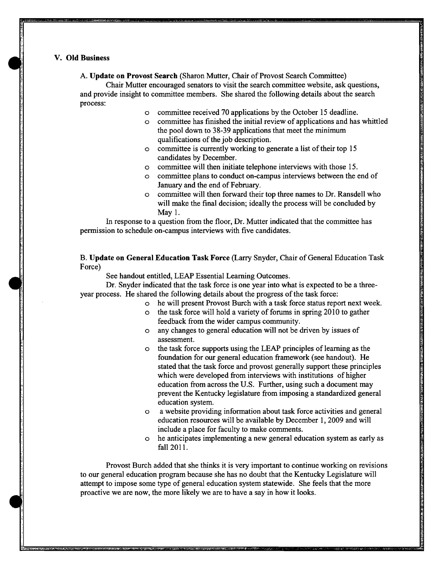# V. Old Business

 $\begin{array}{c} \bullet \\ \bullet \\ \bullet \end{array}$ 

 $\bullet$ 

A. Update on Provost Search (Sharon Mutter, Chair of Provost Search Committee)

Chair Mutter encouraged senators to visit the search committee website, ask questions, and provide insight to committee members. She shared the following details about the search process:

- o committee received 70 applications by the October 15 deadline.
- o committee has finished the initial review of applications and has whittled the pool down to 38-39 applications that meet the minimum qualifications of the job description.
- o committee is currently working to generate a list of their top 15 candidates by December.
- o committee will then initiate telephone interviews with those 15.
- o committee plans to conduct on-campus interviews between the end of January and the end of February.
- o committee will then forward their top three names to Dr. Ransdell who will make the final decision; ideally the process will be concluded by May 1.

In response to a question from the floor, Dr. Mutter indicated that the committee has permission to schedule on-campus interviews with five candidates.

B. Update on General Education Task Force (Larry Snyder, Chair of General Education Task Force)

See handout entitled, LEAP Essential Learning Outcomes.

Dr. Snyder indicated that the task force is one year into what is expected to be a threeyear process. He shared the following details about the progress of the task force:

- o he will present Provost Burch with a task force status report next week.
- o the task force will hold a variety of forums in spring 2010 to gather feedback from the wider campus community.
- o any changes to general education will not be driven by issues of assessment.
- o the task force supports using the LEAP principles of learning as the foundation for our general education framework (see handout). He stated that the task force and provost generally support these principles which were developed from interviews with institutions of higher education from across the U.S. Further, using such a document may prevent the Kentucky legislature from imposing a standardized general education system.
- o a website providing infonnation about task force activities and general education resources will be available by December I, 2009 and will include a place for faculty to make comments.
- o he anticipates implementing a new general education system as early as fall 2011.

Provost Burch added that she thinks it is very important to continue working on revisions to our general education program because she has no doubt that the Kentucky Legislature will attempt to impose some type of general education system statewide. She feels that the more proactive we are now, the more likely we are to have a say in how it looks.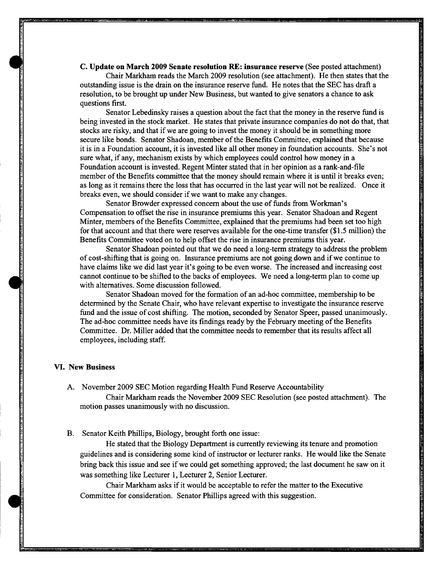c. Update on March 2009 Senate resolution RE: insurance reserve (See posted attachment)

Chair Markham reads the March 2009 resolution (see attachment). He then states that the outstanding issue is the drain on the insurance reserve fund. He notes that the SEC has draft a resolution, to be brought up under New Business, but wanted to give senators a chance to ask questions first.

Senator Lebedinsky raises a question about the fact that the money in the reserve fund is being invested in the stock market. He states that private insurance companies do not do that, that stocks are risky, and that if we are going to invest the money it should be in something more secure like bonds. Senator Shadoan, member of the Benefits Committee, explained that because it is in a Foundation account, it is invested like all other money in foundation accounts. She's not sure what, if any, mechanism exists by which employees could control how money in a Foundation account is invested. Regent Minter stated that in her opinion as a rank-and-file member of the Benefits committee that the money should remain where it is until it breaks even; as long as it remains there the loss that has occurred in the last year will not be realized. Once it breaks even, we should consider if we want to make any changes.

Senator Browder expressed concern about the use of funds from Workman's Compensation to offset the rise in insurance premiums this year. Senator Shadoan and Regent Minter, members of the Benefits Committee, explained that the premiums had been set too high for that account and that there were reserves available for the one-time transfer (\$1.5 million) the Benefits Committee voted on to help offset the rise in insurance premiums this year.

Senator Shadoan pointed out that we do need a long-term strategy to address the problem of cost-shifting that is going on. Insurance premiums are not going down and if we continue to have claims like we did last year it's going to be even worse. The increased and increasing cost cannot continue to be shifted to the backs of employees. We need a long-term plan to come up with alternatives. Some discussion followed.

Senator Shadoan moved for the formation of an ad-hoc committee, membership to be determined by the Senate Chair, who have relevant expertise to investigate the insurance reserve fund and the issue of cost shifting. The motion, seconded by Senator Speer, passed unanimously. The ad-hoc committee needs have its findings ready by the February meeting of the Benefits Committee. Dr. Miller added that the committee needs to remember that its results affect all employees, including staff.

## VI. New Business

•

•

A. November 2009 SEC Motion regarding Health Fund Reserve Accountability

Chair Markham reads the November 2009 SEC Resolution (see posted attachment). The motion passes unanimously with no discussion.

B. Senator Keith Phillips, Biology, brought forth one issue:

He stated that the Biology Department is currently reviewing its tenure and promotion guidelines and is considering some kind of instructor or lecturer ranks. He would like the Senate bring back this issue and see if we could get something approved; the last document he saw on it was something like Lecturer 1, Lecturer 2, Senior Lecturer.

Chair Markham asks if it would be acceptable to refer the matter to the Executive Committee for consideration. Senator Phillips agreed with this suggestion.